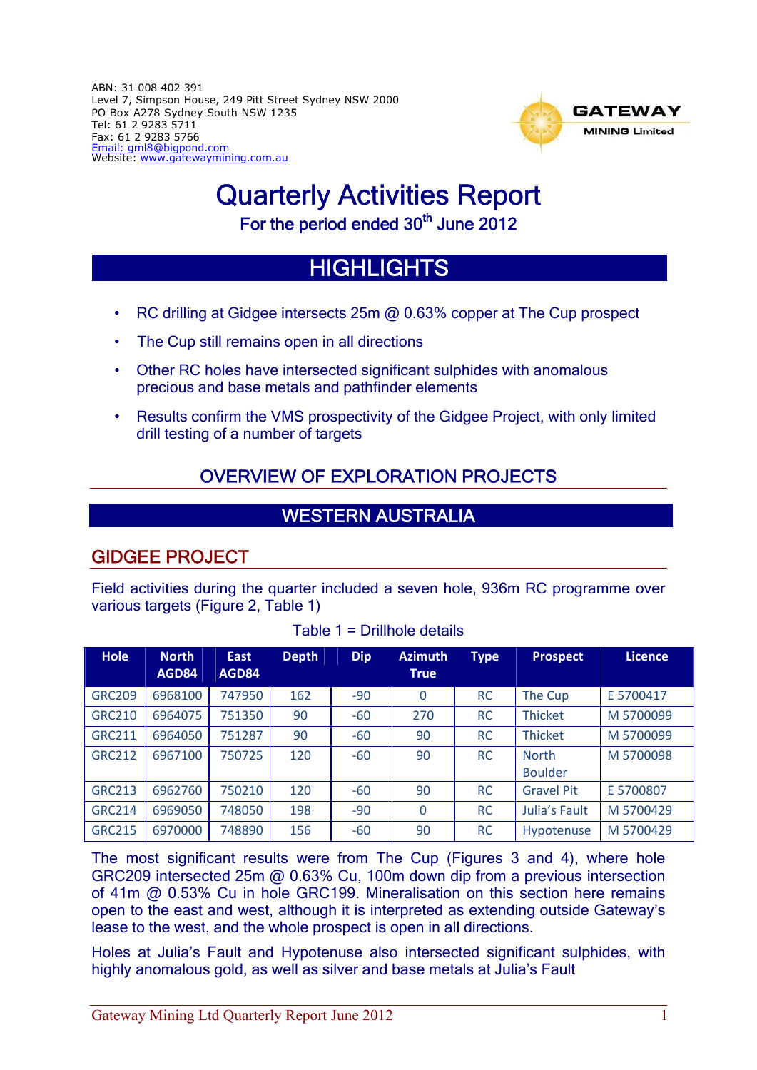ABN: 31 008 402 391 Level 7, Simpson House, 249 Pitt Street Sydney NSW 2000 PO Box A278 Sydney South NSW 1235 Tel: 61 2 9283 5711 Fax: 61 2 9283 5766 Email: gml8@bigpond.com Website: www.gatewaymining.com.au



# Quarterly Activities Report

For the period ended 30<sup>th</sup> June 2012

# **HIGHLIGHTS**

- RC drilling at Gidgee intersects 25m @ 0.63% copper at The Cup prospect
- The Cup still remains open in all directions
- Other RC holes have intersected significant sulphides with anomalous precious and base metals and pathfinder elements
- Results confirm the VMS prospectivity of the Gidgee Project, with only limited drill testing of a number of targets

# OVERVIEW OF EXPLORATION PROJECTS

# WESTERN AUSTRALIA

# GIDGEE PROJECT

Field activities during the quarter included a seven hole, 936m RC programme over various targets (Figure 2, Table 1)

| <b>Hole</b>   | <b>North</b><br>AGD84 | <b>East</b><br>AGD84 | <b>Depth</b> | <b>Dip</b> | <b>Azimuth</b><br><b>True</b> | <b>Type</b> | <b>Prospect</b>                | Licence   |
|---------------|-----------------------|----------------------|--------------|------------|-------------------------------|-------------|--------------------------------|-----------|
| <b>GRC209</b> | 6968100               | 747950               | 162          | $-90$      | $\overline{0}$                | <b>RC</b>   | The Cup                        | E 5700417 |
| <b>GRC210</b> | 6964075               | 751350               | 90           | $-60$      | 270                           | <b>RC</b>   | <b>Thicket</b>                 | M 5700099 |
| <b>GRC211</b> | 6964050               | 751287               | 90           | $-60$      | 90                            | <b>RC</b>   | <b>Thicket</b>                 | M 5700099 |
| <b>GRC212</b> | 6967100               | 750725               | 120          | $-60$      | 90                            | <b>RC</b>   | <b>North</b><br><b>Boulder</b> | M 5700098 |
| <b>GRC213</b> | 6962760               | 750210               | 120          | $-60$      | 90                            | <b>RC</b>   | <b>Gravel Pit</b>              | E 5700807 |
| <b>GRC214</b> | 6969050               | 748050               | 198          | $-90$      | $\overline{0}$                | <b>RC</b>   | Julia's Fault                  | M 5700429 |
| <b>GRC215</b> | 6970000               | 748890               | 156          | $-60$      | 90                            | <b>RC</b>   | Hypotenuse                     | M 5700429 |

Table 1 = Drillhole details

The most significant results were from The Cup (Figures 3 and 4), where hole GRC209 intersected 25m @ 0.63% Cu, 100m down dip from a previous intersection of 41m @ 0.53% Cu in hole GRC199. Mineralisation on this section here remains open to the east and west, although it is interpreted as extending outside Gateway's lease to the west, and the whole prospect is open in all directions.

Holes at Julia's Fault and Hypotenuse also intersected significant sulphides, with highly anomalous gold, as well as silver and base metals at Julia's Fault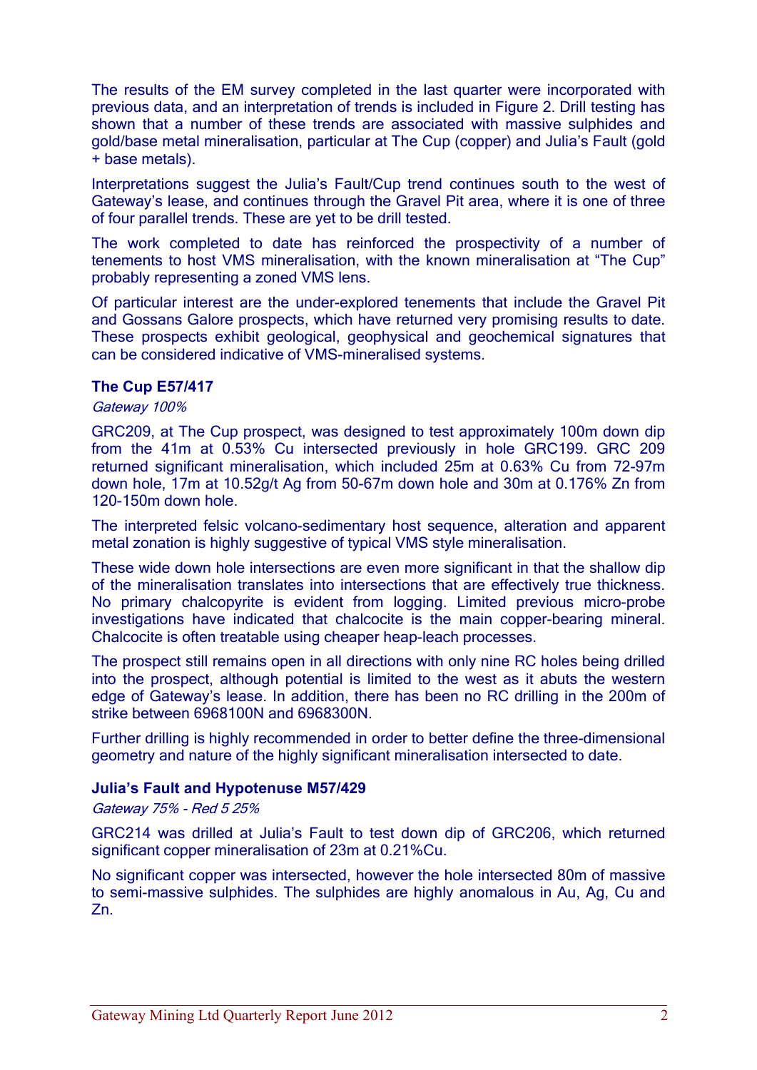The results of the EM survey completed in the last quarter were incorporated with previous data, and an interpretation of trends is included in Figure 2. Drill testing has shown that a number of these trends are associated with massive sulphides and gold/base metal mineralisation, particular at The Cup (copper) and Julia's Fault (gold + base metals).

Interpretations suggest the Julia's Fault/Cup trend continues south to the west of Gateway's lease, and continues through the Gravel Pit area, where it is one of three of four parallel trends. These are yet to be drill tested.

The work completed to date has reinforced the prospectivity of a number of tenements to host VMS mineralisation, with the known mineralisation at "The Cup" probably representing a zoned VMS lens.

Of particular interest are the under-explored tenements that include the Gravel Pit and Gossans Galore prospects, which have returned very promising results to date. These prospects exhibit geological, geophysical and geochemical signatures that can be considered indicative of VMS-mineralised systems.

#### **The Cup E57/417**

#### Gateway 100%

GRC209, at The Cup prospect, was designed to test approximately 100m down dip from the 41m at 0.53% Cu intersected previously in hole GRC199. GRC 209 returned significant mineralisation, which included 25m at 0.63% Cu from 72-97m down hole, 17m at 10.52g/t Ag from 50-67m down hole and 30m at 0.176% Zn from 120-150m down hole.

The interpreted felsic volcano-sedimentary host sequence, alteration and apparent metal zonation is highly suggestive of typical VMS style mineralisation.

These wide down hole intersections are even more significant in that the shallow dip of the mineralisation translates into intersections that are effectively true thickness. No primary chalcopyrite is evident from logging. Limited previous micro-probe investigations have indicated that chalcocite is the main copper-bearing mineral. Chalcocite is often treatable using cheaper heap-leach processes.

The prospect still remains open in all directions with only nine RC holes being drilled into the prospect, although potential is limited to the west as it abuts the western edge of Gateway's lease. In addition, there has been no RC drilling in the 200m of strike between 6968100N and 6968300N.

Further drilling is highly recommended in order to better define the three-dimensional geometry and nature of the highly significant mineralisation intersected to date.

#### **Julia's Fault and Hypotenuse M57/429**

Gateway 75% - Red 5 25%

GRC214 was drilled at Julia's Fault to test down dip of GRC206, which returned significant copper mineralisation of 23m at 0.21%Cu.

No significant copper was intersected, however the hole intersected 80m of massive to semi-massive sulphides. The sulphides are highly anomalous in Au, Ag, Cu and Zn.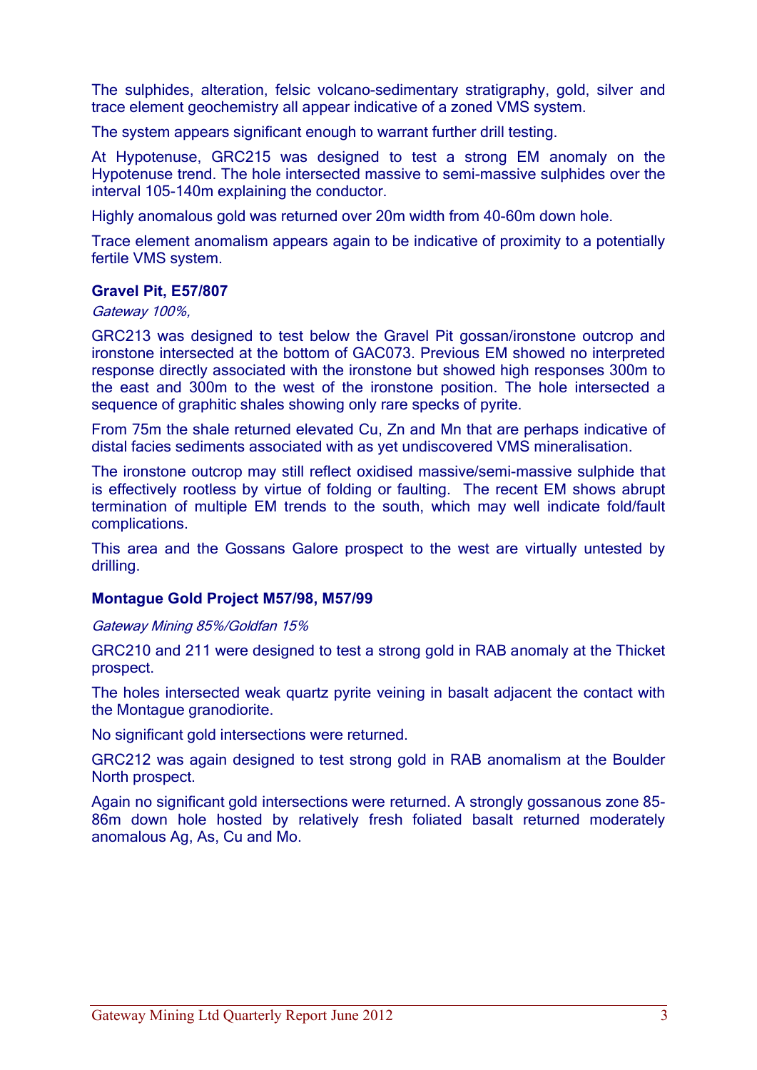The sulphides, alteration, felsic volcano-sedimentary stratigraphy, gold, silver and trace element geochemistry all appear indicative of a zoned VMS system.

The system appears significant enough to warrant further drill testing.

At Hypotenuse, GRC215 was designed to test a strong EM anomaly on the Hypotenuse trend. The hole intersected massive to semi-massive sulphides over the interval 105-140m explaining the conductor.

Highly anomalous gold was returned over 20m width from 40-60m down hole.

Trace element anomalism appears again to be indicative of proximity to a potentially fertile VMS system.

#### **Gravel Pit, E57/807**

Gateway 100%,

GRC213 was designed to test below the Gravel Pit gossan/ironstone outcrop and ironstone intersected at the bottom of GAC073. Previous EM showed no interpreted response directly associated with the ironstone but showed high responses 300m to the east and 300m to the west of the ironstone position. The hole intersected a sequence of graphitic shales showing only rare specks of pyrite.

From 75m the shale returned elevated Cu, Zn and Mn that are perhaps indicative of distal facies sediments associated with as yet undiscovered VMS mineralisation.

The ironstone outcrop may still reflect oxidised massive/semi-massive sulphide that is effectively rootless by virtue of folding or faulting. The recent EM shows abrupt termination of multiple EM trends to the south, which may well indicate fold/fault complications.

This area and the Gossans Galore prospect to the west are virtually untested by drilling.

#### **Montague Gold Project M57/98, M57/99**

Gateway Mining 85%/Goldfan 15%

GRC210 and 211 were designed to test a strong gold in RAB anomaly at the Thicket prospect.

The holes intersected weak quartz pyrite veining in basalt adjacent the contact with the Montague granodiorite.

No significant gold intersections were returned.

GRC212 was again designed to test strong gold in RAB anomalism at the Boulder North prospect.

Again no significant gold intersections were returned. A strongly gossanous zone 85- 86m down hole hosted by relatively fresh foliated basalt returned moderately anomalous Ag, As, Cu and Mo.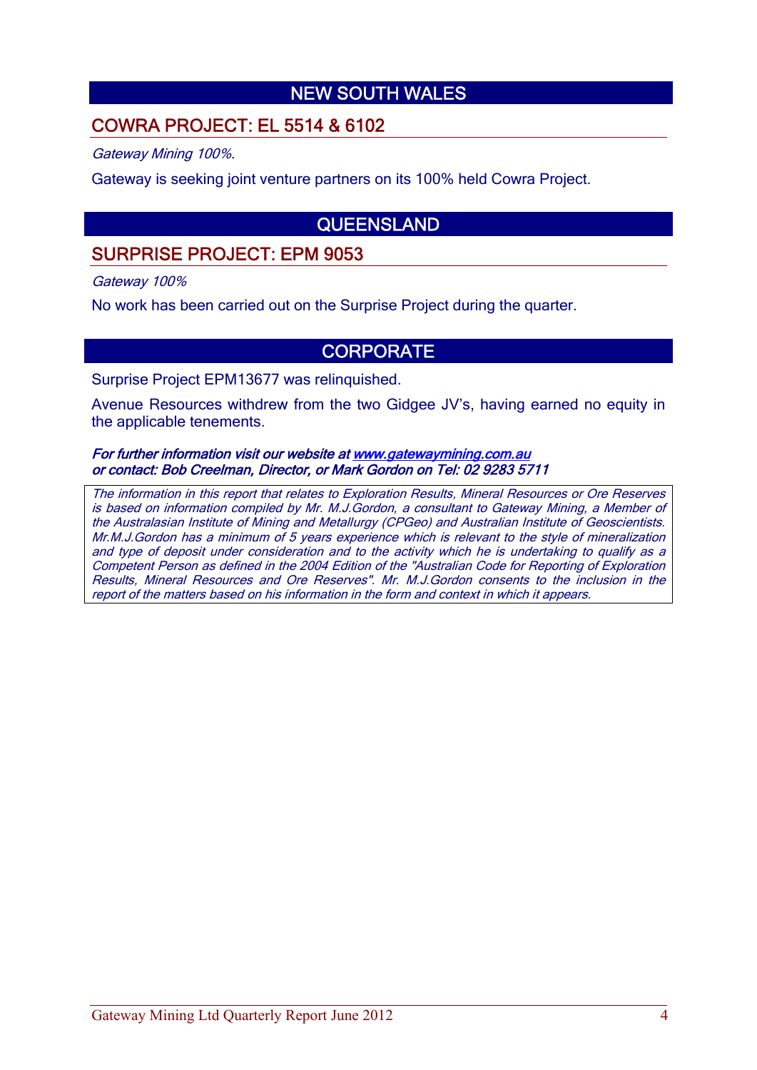# NEW SOUTH WALES

## COWRA PROJECT: EL 5514 & 6102

Gateway Mining 100%.

Gateway is seeking joint venture partners on its 100% held Cowra Project.

# QUEENSLAND

# SURPRISE PROJECT: EPM 9053

Gateway 100%

No work has been carried out on the Surprise Project during the quarter.

### **CORPORATE**

Surprise Project EPM13677 was relinquished.

Avenue Resources withdrew from the two Gidgee JV's, having earned no equity in the applicable tenements.

#### For further information visit our website at www.gatewaymining.com.au or contact: Bob Creelman, Director, or Mark Gordon on Tel: 02 9283 5711

The information in this report that relates to Exploration Results, Mineral Resources or Ore Reserves is based on information compiled by Mr. M.J.Gordon, a consultant to Gateway Mining, a Member of the Australasian Institute of Mining and Metallurgy (CPGeo) and Australian Institute of Geoscientists. Mr.M.J.Gordon has a minimum of 5 years experience which is relevant to the style of mineralization and type of deposit under consideration and to the activity which he is undertaking to qualify as a Competent Person as defined in the 2004 Edition of the "Australian Code for Reporting of Exploration Results, Mineral Resources and Ore Reserves". Mr. M.J.Gordon consents to the inclusion in the report of the matters based on his information in the form and context in which it appears.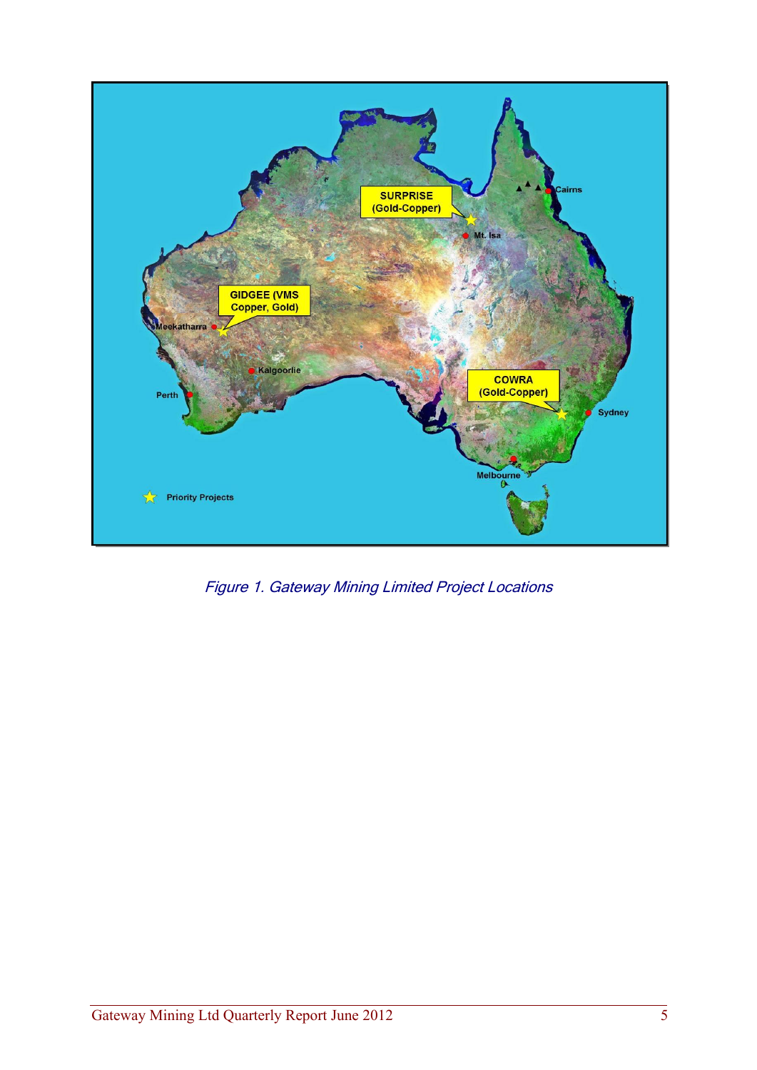

Figure 1. Gateway Mining Limited Project Locations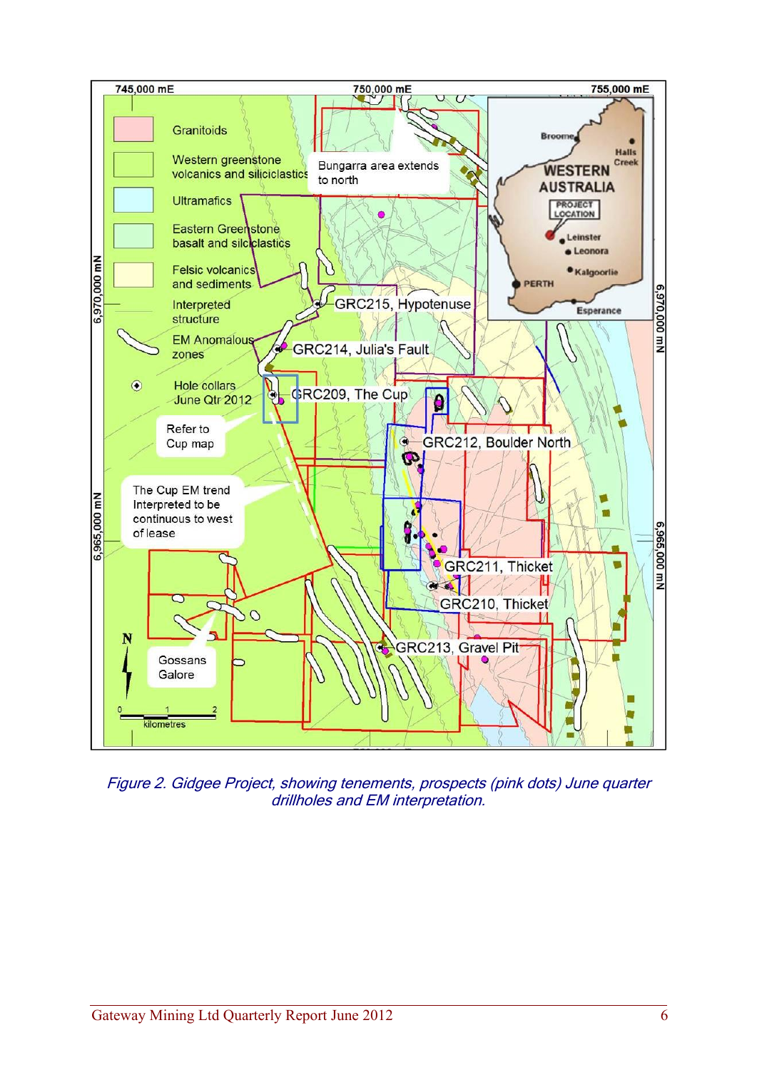

Figure 2. Gidgee Project, showing tenements, prospects (pink dots) June quarter drillholes and EM interpretation.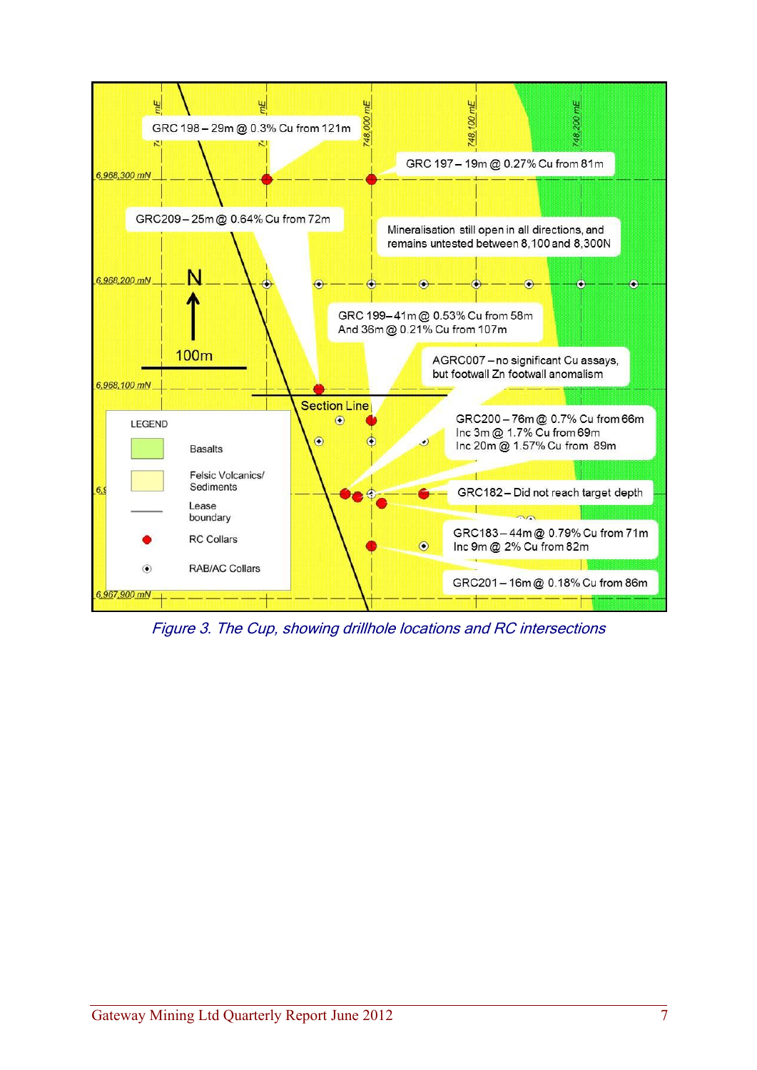![](_page_6_Figure_0.jpeg)

Figure 3. The Cup, showing drillhole locations and RC intersections